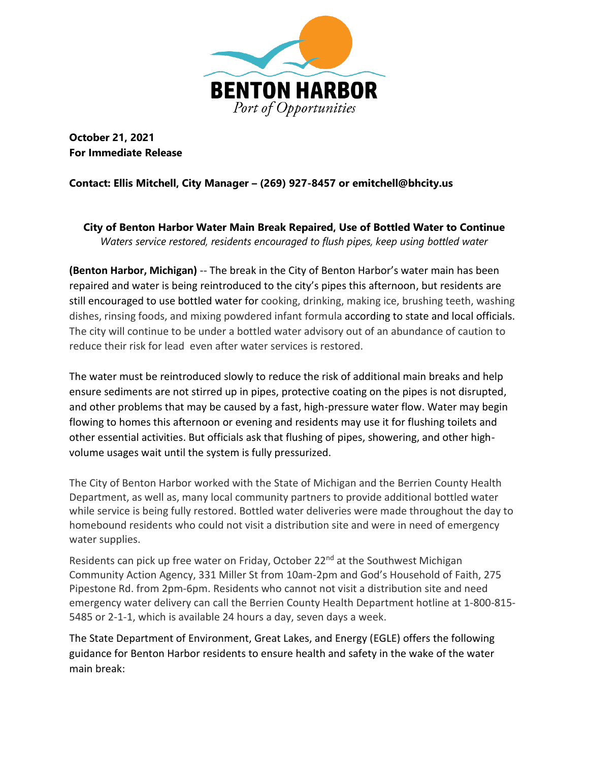

**October 21, 2021 For Immediate Release** 

## **Contact: Ellis Mitchell, City Manager – (269) 927-8457 or emitchell@bhcity.us**

**City of Benton Harbor Water Main Break Repaired, Use of Bottled Water to Continue**  *Waters service restored, residents encouraged to flush pipes, keep using bottled water*

**(Benton Harbor, Michigan)** -- The break in the City of Benton Harbor's water main has been repaired and water is being reintroduced to the city's pipes this afternoon, but residents are still encouraged to use bottled water for cooking, drinking, making ice, brushing teeth, washing dishes, rinsing foods, and mixing powdered infant formula according to state and local officials. The city will continue to be under a bottled water advisory out of an abundance of caution to reduce their risk for lead even after water services is restored.

The water must be reintroduced slowly to reduce the risk of additional main breaks and help ensure sediments are not stirred up in pipes, protective coating on the pipes is not disrupted, and other problems that may be caused by a fast, high-pressure water flow. Water may begin flowing to homes this afternoon or evening and residents may use it for flushing toilets and other essential activities. But officials ask that flushing of pipes, showering, and other highvolume usages wait until the system is fully pressurized.

The City of Benton Harbor worked with the State of Michigan and the Berrien County Health Department, as well as, many local community partners to provide additional bottled water while service is being fully restored. Bottled water deliveries were made throughout the day to homebound residents who could not visit a distribution site and were in need of emergency water supplies.

Residents can pick up free water on Friday, October 22<sup>nd</sup> at the Southwest Michigan Community Action Agency, 331 Miller St from 10am-2pm and God's Household of Faith, 275 Pipestone Rd. from 2pm-6pm. Residents who cannot not visit a distribution site and need emergency water delivery can call the Berrien County Health Department hotline at 1-800-815- 5485 or 2-1-1, which is available 24 hours a day, seven days a week.

The State Department of Environment, Great Lakes, and Energy (EGLE) offers the following guidance for Benton Harbor residents to ensure health and safety in the wake of the water main break: